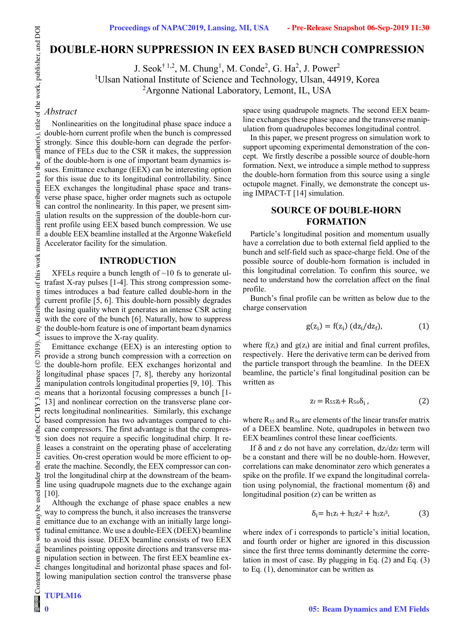# **DOUBLE-HORN SUPPRESSION IN EEX BASED BUNCH COMPRESSION**

J. Seok $^{\dagger}$  <sup>1,2</sup>, M. Chung<sup>1</sup>, M. Conde<sup>2</sup>, G. Ha<sup>2</sup>, J. Power<sup>2</sup> <sup>1</sup>Ulsan National Institute of Science and Technology, Ulsan, 44919, Korea <sup>2</sup>Argonne National Laboratory, Lemont, IL, USA

# *Abstract*

Nonlinearities on the longitudinal phase space induce a double-horn current profile when the bunch is compressed strongly. Since this double-horn can degrade the performance of FELs due to the CSR it makes, the suppression of the double-horn is one of important beam dynamics issues. Emittance exchange (EEX) can be interesting option for this issue due to its longitudinal controllability. Since EEX exchanges the longitudinal phase space and transverse phase space, higher order magnets such as octupole can control the nonlinearity. In this paper, we present simulation results on the suppression of the double-horn current profile using EEX based bunch compression. We use a double EEX beamline installed at the Argonne Wakefield Accelerator facility for the simulation.

#### **INTRODUCTION**

XFELs require a bunch length of  $\sim$ 10 fs to generate ultrafast X-ray pulses [1-4]. This strong compression sometimes introduces a bad feature called double-horn in the current profile [5, 6]. This double-horn possibly degrades the lasing quality when it generates an intense CSR acting with the core of the bunch [6]. Naturally, how to suppress the double-horn feature is one of important beam dynamics issues to improve the X-ray quality.

Emittance exchange (EEX) is an interesting option to provide a strong bunch compression with a correction on the double-horn profile. EEX exchanges horizontal and longitudinal phase spaces [7, 8], thereby any horizontal manipulation controls longitudinal properties [9, 10]. This means that a horizontal focusing compresses a bunch [1- 13] and nonlinear correction on the transverse plane corrects longitudinal nonlinearities. Similarly, this exchange based compression has two advantages compared to chicane compressors. The first advantage is that the compression does not require a specific longitudinal chirp. It releases a constraint on the operating phase of accelerating cavities. On-crest operation would be more efficient to operate the machine. Secondly, the EEX compressor can control the longitudinal chirp at the downstream of the beamline using quadrupole magnets due to the exchange again [10].

Although the exchange of phase space enables a new way to compress the bunch, it also increases the transverse emittance due to an exchange with an initially large longitudinal emittance. We use a double-EEX (DEEX) beamline to avoid this issue. DEEX beamline consists of two EEX beamlines pointing opposite directions and transverse manipulation section in between. The first EEX beamline exchanges longitudinal and horizontal phase spaces and following manipulation section control the transverse phase

**0**

 $the<sub>1</sub>$ 

used under

 $\mathbf{e}$ 

work may

this

space using quadrupole magnets. The second EEX beamline exchanges these phase space and the transverse manipulation from quadrupoles becomes longitudinal control.

In this paper, we present progress on simulation work to support upcoming experimental demonstration of the concept. We firstly describe a possible source of double-horn formation. Next, we introduce a simple method to suppress the double-horn formation from this source using a single octupole magnet. Finally, we demonstrate the concept using IMPACT-T [14] simulation.

# **SOURCE OF DOUBLE-HORN FORMATION**

Particle's longitudinal position and momentum usually have a correlation due to both external field applied to the bunch and self-field such as space-charge field. One of the possible source of double-horn formation is included in this longitudinal correlation. To confirm this source, we need to understand how the correlation affect on the final profile.

Bunch's final profile can be written as below due to the charge conservation

$$
g(z_i) = f(z_i) (dz_i/dz_f), \qquad (1)
$$

where  $f(z_i)$  and  $g(z_i)$  are initial and final current profiles, respectively. Here the derivative term can be derived from the particle transport through the beamline. In the DEEX beamline, the particle's final longitudinal position can be written as

$$
z_f = R_{55}z_i + R_{56}\delta_i, \qquad (2)
$$

where  $R_{55}$  and  $R_{56}$  are elements of the linear transfer matrix of a DEEX beamline. Note, quadrupoles in between two EEX beamlines control these linear coefficients.

If  $\delta$  and z do not have any correlation,  $dz/dz_f$  term will be a constant and there will be no double-horn. However, correlations can make denominator zero which generates a spike on the profile. If we expand the longitudinal correlation using polynomial, the fractional momentum  $(\delta)$  and longitudinal position (z) can be written as

$$
\delta_i = h_1 z_i + h_2 z_i^2 + h_3 z_i^3, \tag{3}
$$

where index of i corresponds to particle's initial location, and fourth order or higher are ignored in this discussion since the first three terms dominantly determine the correlation in most of case. By plugging in Eq. (2) and Eq. (3) to Eq. (1), denominator can be written as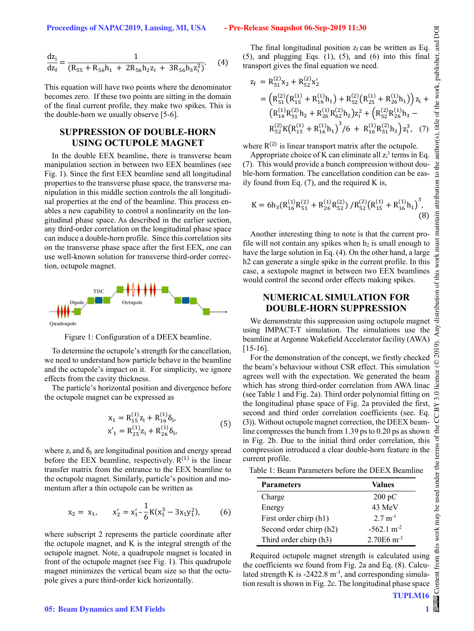$$
\frac{dz_i}{dz_f} = \frac{1}{(R_{55} + R_{56}h_1 + 2R_{56}h_2z_i + 3R_{56}h_3z_i^2)}.
$$
 (4)

This equation will have two points where the denominator becomes zero. If these two points are sitting in the domain of the final current profile, they make two spikes. This is the double-horn we usually observe [5-6].

# **SUPPRESSION OF DOUBLE-HORN USING OCTUPOLE MAGNET**

In the double EEX beamline, there is transverse beam manipulation section in between two EEX beamlines (see Fig. 1). Since the first EEX beamline send all longitudinal properties to the transverse phase space, the transverse manipulation in this middle section controls the all longitudinal properties at the end of the beamline. This process enables a new capability to control a nonlinearity on the longitudinal phase space. As described in the earlier section, any third-order correlation on the longitudinal phase space can induce a double-horn profile. Since this correlation sits on the transverse phase space after the first EEX, one can use well-known solution for transverse third-order correction, octupole magnet.



Figure 1: Configuration of a DEEX beamline.

To determine the octupole's strength for the cancellation, we need to understand how particle behave in the beamline and the octupole's impact on it. For simplicity, we ignore effects from the cavity thickness.

The particle's horizontal position and divergence before the octupole magnet can be expressed as

$$
x_1 = R_{15}^{(1)} z_i + R_{16}^{(1)} \delta_i,
$$
  
\n
$$
x'_1 = R_{25}^{(1)} z_i + R_{26}^{(1)} \delta_i,
$$
\n(5)

where  $z_i$  and  $\delta_i$  are longitudinal position and energy spread before the EEX beamline, respectively.  $R^{(1)}$  is the linear transfer matrix from the entrance to the EEX beamline to the octupole magnet. Similarly, particle's position and momentum after a thin octupole can be written as

$$
x_2 = x_1, \qquad x'_2 = x'_1 - \frac{1}{6}K(x_1^3 - 3x_1y_1^2), \tag{6}
$$

where subscript 2 represents the particle coordinate after the octupole magnet, and K is the integral strength of the octupole magnet. Note, a quadrupole magnet is located in front of the octupole magnet (see Fig. 1). This quadrupole magnet minimizes the vertical beam size so that the octupole gives a pure third-order kick horizontally.

The final longitudinal position  $z_f$  can be written as Eq.  $(5)$ , and plugging Eqs.  $(1)$ ,  $(5)$ , and  $(6)$  into this final transport gives the final equation we need.

$$
z_{f} = R_{51}^{(2)}x_{2} + R_{52}^{(2)}x_{2}'
$$
  
\n
$$
= (R_{51}^{(2)}(R_{15}^{(1)} + R_{16}^{(1)}h_{1}) + R_{52}^{(2)}(R_{25}^{(1)} + R_{26}^{(1)}h_{1}) ) z_{i} +
$$
  
\n
$$
(R_{16}^{(1)}R_{51}^{(2)}h_{2} + R_{26}^{(1)}R_{62}^{(2)}h_{2}) z_{i}^{2} + (R_{52}^{(2)}R_{26}^{(1)}h_{3} -
$$
  
\n
$$
R_{52}^{(2)}K(R_{15}^{(1)} + R_{16}^{(1)}h_{1})^{3}/6 + R_{16}^{(1)}R_{51}^{(2)}h_{3}) z_{i}^{3}, (7)
$$

where  $R^{(2)}$  is linear transport matrix after the octupole.

Appropriate choice of K can eliminate all  $z_i^3$  terms in Eq. (7). This would provide a bunch compression without double-horn formation. The cancellation condition can be easily found from Eq.  $(7)$ , and the required K is,

$$
K = 6h_3(R_{16}^{(1)}R_{51}^{(2)} + R_{26}^{(1)}R_{52}^{(2)}) / R_{52}^{(2)}(R_{15}^{(1)} + R_{16}^{(1)}h_1)^3,
$$
\n(8)

Another interesting thing to note is that the current profile will not contain any spikes when  $h_2$  is small enough to have the large solution in Eq. (4). On the other hand, a large h2 can generate a single spike in the current profile. In this case, a sextupole magnet in between two EEX beamlines would control the second order effects making spikes.

### **NUMERICAL SIMULATION FOR DOUBLE-HORN SUPPRESSION**

We demonstrate this suppression using octupole magnet using IMPACT-T simulation. The simulations use the beamline at Argonne Wakefield Accelerator facility (AWA) [15-16].

For the demonstration of the concept, we firstly checked the beam's behaviour without CSR effect. This simulation agrees well with the expectation. We generated the beam which has strong third-order correlation from AWA linac (see Table 1 and Fig. 2a). Third order polynomial fitting on the longitudinal phase space of Fig. 2a provided the first, second and third order correlation coefficients (see. Eq. (3)). Without octupole magnet correction, the DEEX beamline compresses the bunch from 1.39 ps to 0.20 ps as shown in Fig. 2b. Due to the initial third order correlation, this compression introduced a clear double-horn feature in the current profile.

Table 1: Beam Parameters before the DEEX Beamline

| <b>Parameters</b>       | Values                   |
|-------------------------|--------------------------|
| Charge                  | $200 \text{ pC}$         |
| Energy                  | 43 MeV                   |
| First order chirp (h1)  | $2.7 \text{ m}^{-1}$     |
| Second order chirp (h2) | $-562.1 \text{ m}^{-2}$  |
| Third order chirp (h3)  | $2.70E6$ m <sup>-3</sup> |

Required octupole magnet strength is calculated using the coefficients we found from Fig. 2a and Eq. (8). Calculated strength K is -2422.8  $m$ <sup>-3</sup>, and corresponding simulation result is shown in Fig. 2c. The longitudinal phase space

**1**

DOI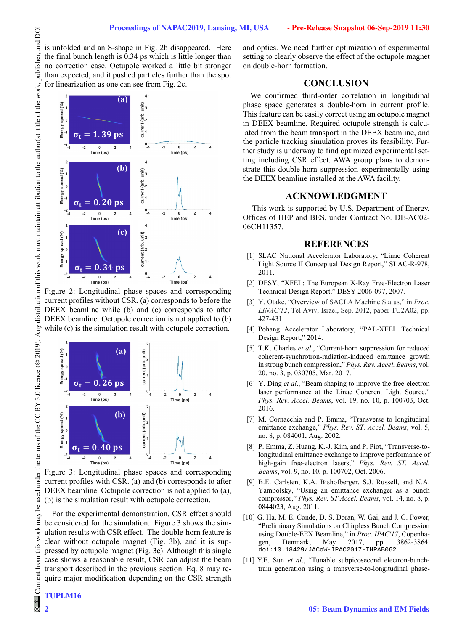is unfolded and an S-shape in Fig. 2b disappeared. Here the final bunch length is 0.34 ps which is little longer than no correction case. Octupole worked a little bit stronger than expected, and it pushed particles further than the spot for linearization as one can see from Fig. 2c.



Figure 2: Longitudinal phase spaces and corresponding current profiles without CSR. (a) corresponds to before the DEEX beamline while (b) and (c) corresponds to after DEEX beamline. Octupole correction is not applied to (b) while (c) is the simulation result with octupole correction.



Figure 3: Longitudinal phase spaces and corresponding current profiles with CSR. (a) and (b) corresponds to after DEEX beamline. Octupole correction is not applied to (a), (b) is the simulation result with octupole correction.

For the experimental demonstration, CSR effect should be considered for the simulation. Figure 3 shows the simulation results with CSR effect. The double-horn feature is clear without octupole magnet (Fig. 3b), and it is suppressed by octupole magnet (Fig. 3c). Although this single case shows a reasonable result, CSR can adjust the beam transport described in the previous section. Eq. 8 may require major modification depending on the CSR strength

#### **TUPLM16**

**2**

and optics. We need further optimization of experimental setting to clearly observe the effect of the octupole magnet on double-horn formation.

# **CONCLUSION**

We confirmed third-order correlation in longitudinal phase space generates a double-horn in current profile. This feature can be easily correct using an octupole magnet in DEEX beamline. Required octupole strength is calculated from the beam transport in the DEEX beamline, and the particle tracking simulation proves its feasibility. Further study is underway to find optimized experimental setting including CSR effect. AWA group plans to demonstrate this double-horn suppression experimentally using the DEEX beamline installed at the AWA facility.

#### **ACKNOWLEDGMENT**

 This work is supported by U.S. Department of Energy, Offices of HEP and BES, under Contract No. DE-AC02- 06CH11357.

## **REFERENCES**

- [1] SLAC National Accelerator Laboratory, "Linac Coherent Light Source II Conceptual Design Report," SLAC-R-978, 2011.
- [2] DESY, "XFEL: The European X-Ray Free-Electron Laser Technical Design Report," DESY 2006-097, 2007.
- [3] Y. Otake, "Overview of SACLA Machine Status," in *Proc. LINAC'12*, Tel Aviv, Israel, Sep. 2012, paper TU2A02, pp. 427-431.
- [4] Pohang Accelerator Laboratory, "PAL-XFEL Technical Design Report," 2014.
- [5] T.K. Charles *et al*., "Current-horn suppression for reduced coherent-synchrotron-radiation-induced emittance growth in strong bunch compression," *Phys. Rev. Accel. Beams*, vol. 20, no. 3, p. 030705, Mar. 2017.
- [6] Y. Ding *et al*., "Beam shaping to improve the free-electron laser performance at the Linac Coherent Light Source," *Phys. Rev. Accel. Beams*, vol. 19, no. 10, p. 100703, Oct. 2016.
- [7] M. Cornacchia and P. Emma, "Transverse to longitudinal emittance exchange," *Phys. Rev. ST. Accel. Beams*, vol. 5, no. 8, p. 084001, Aug. 2002.
- [8] P. Emma, Z. Huang, K.-J. Kim, and P. Piot, "Transverse-tolongitudinal emittance exchange to improve performance of high-gain free-electron lasers," *Phys. Rev. ST. Accel. Beams*, vol. 9, no. 10, p. 100702, Oct. 2006.
- [9] B.E. Carlsten, K.A. Bishofberger, S.J. Russell, and N.A. Yampolsky, "Using an emittance exchanger as a bunch compressor," *Phys. Rev. ST Accel. Beams*, vol. 14, no. 8, p. 0844023, Aug. 2011.
- [10] G. Ha, M. E. Conde, D. S. Doran, W. Gai, and J. G. Power, "Preliminary Simulations on Chirpless Bunch Compression using Double-EEX Beamline," in *Proc. IPAC'17*, Copenhagen, Denmark, May 2017, pp. 3862-3864. doi:10.18429/JACoW-IPAC2017-THPAB062
- [11] Y.E. Sun *et al*., "Tunable subpicosecond electron-bunchtrain generation using a transverse-to-longitudinal phase-